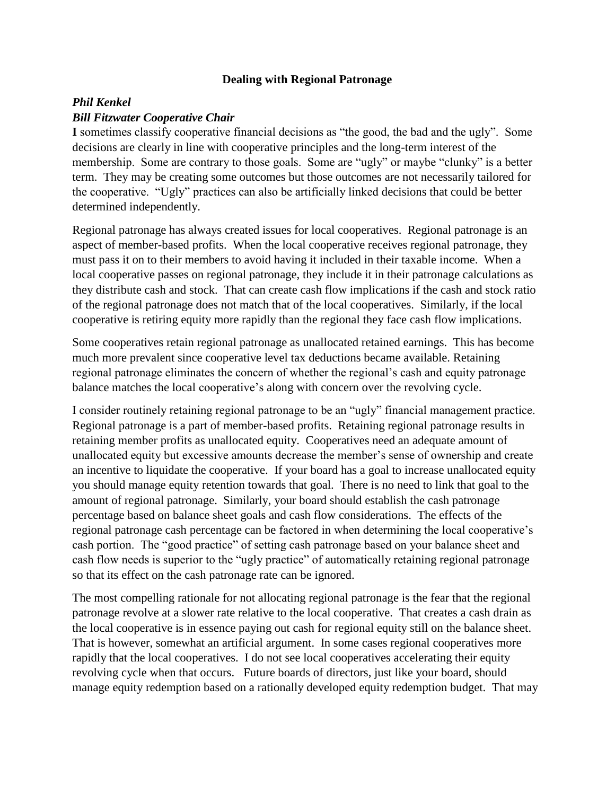## **Dealing with Regional Patronage**

## *Phil Kenkel Bill Fitzwater Cooperative Chair*

**I** sometimes classify cooperative financial decisions as "the good, the bad and the ugly". Some decisions are clearly in line with cooperative principles and the long-term interest of the membership. Some are contrary to those goals. Some are "ugly" or maybe "clunky" is a better term. They may be creating some outcomes but those outcomes are not necessarily tailored for the cooperative. "Ugly" practices can also be artificially linked decisions that could be better determined independently.

Regional patronage has always created issues for local cooperatives. Regional patronage is an aspect of member-based profits. When the local cooperative receives regional patronage, they must pass it on to their members to avoid having it included in their taxable income. When a local cooperative passes on regional patronage, they include it in their patronage calculations as they distribute cash and stock. That can create cash flow implications if the cash and stock ratio of the regional patronage does not match that of the local cooperatives. Similarly, if the local cooperative is retiring equity more rapidly than the regional they face cash flow implications.

Some cooperatives retain regional patronage as unallocated retained earnings. This has become much more prevalent since cooperative level tax deductions became available. Retaining regional patronage eliminates the concern of whether the regional's cash and equity patronage balance matches the local cooperative's along with concern over the revolving cycle.

I consider routinely retaining regional patronage to be an "ugly" financial management practice. Regional patronage is a part of member-based profits. Retaining regional patronage results in retaining member profits as unallocated equity. Cooperatives need an adequate amount of unallocated equity but excessive amounts decrease the member's sense of ownership and create an incentive to liquidate the cooperative. If your board has a goal to increase unallocated equity you should manage equity retention towards that goal. There is no need to link that goal to the amount of regional patronage. Similarly, your board should establish the cash patronage percentage based on balance sheet goals and cash flow considerations. The effects of the regional patronage cash percentage can be factored in when determining the local cooperative's cash portion. The "good practice" of setting cash patronage based on your balance sheet and cash flow needs is superior to the "ugly practice" of automatically retaining regional patronage so that its effect on the cash patronage rate can be ignored.

The most compelling rationale for not allocating regional patronage is the fear that the regional patronage revolve at a slower rate relative to the local cooperative. That creates a cash drain as the local cooperative is in essence paying out cash for regional equity still on the balance sheet. That is however, somewhat an artificial argument. In some cases regional cooperatives more rapidly that the local cooperatives. I do not see local cooperatives accelerating their equity revolving cycle when that occurs. Future boards of directors, just like your board, should manage equity redemption based on a rationally developed equity redemption budget. That may